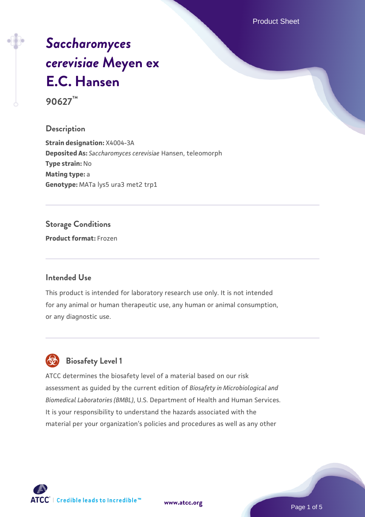Product Sheet

# *[Saccharomyces](https://www.atcc.org/products/90627) [cerevisiae](https://www.atcc.org/products/90627)* **[Meyen ex](https://www.atcc.org/products/90627) [E.C. Hansen](https://www.atcc.org/products/90627)**

**90627™**

#### **Description**

**Strain designation:** X4004-3A **Deposited As:** *Saccharomyces cerevisiae* Hansen, teleomorph **Type strain:** No **Mating type:** a Genotype: MATa lys5 ura3 met2 trp1

#### **Storage Conditions**

**Product format:** Frozen

#### **Intended Use**

This product is intended for laboratory research use only. It is not intended for any animal or human therapeutic use, any human or animal consumption, or any diagnostic use.



### **Biosafety Level 1**

ATCC determines the biosafety level of a material based on our risk assessment as guided by the current edition of *Biosafety in Microbiological and Biomedical Laboratories (BMBL)*, U.S. Department of Health and Human Services. It is your responsibility to understand the hazards associated with the material per your organization's policies and procedures as well as any other

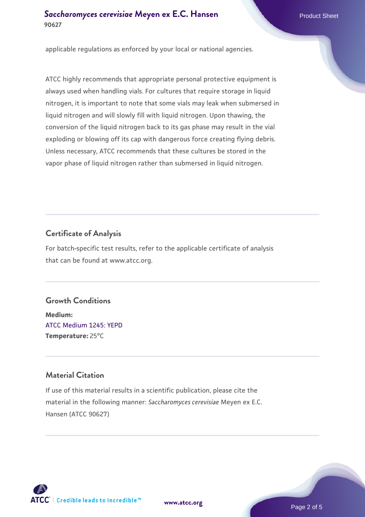#### **[Saccharomyces cerevisiae](https://www.atcc.org/products/90627)** [Meyen ex E.C. Hansen](https://www.atcc.org/products/90627) **90627**

applicable regulations as enforced by your local or national agencies.

ATCC highly recommends that appropriate personal protective equipment is always used when handling vials. For cultures that require storage in liquid nitrogen, it is important to note that some vials may leak when submersed in liquid nitrogen and will slowly fill with liquid nitrogen. Upon thawing, the conversion of the liquid nitrogen back to its gas phase may result in the vial exploding or blowing off its cap with dangerous force creating flying debris. Unless necessary, ATCC recommends that these cultures be stored in the vapor phase of liquid nitrogen rather than submersed in liquid nitrogen.

#### **Certificate of Analysis**

For batch-specific test results, refer to the applicable certificate of analysis that can be found at www.atcc.org.

#### **Growth Conditions**

**Medium:**  [ATCC Medium 1245: YEPD](https://www.atcc.org/-/media/product-assets/documents/microbial-media-formulations/1/2/4/5/atcc-medium-1245.pdf?rev=705ca55d1b6f490a808a965d5c072196) **Temperature:** 25°C

#### **Material Citation**

If use of this material results in a scientific publication, please cite the material in the following manner: *Saccharomyces cerevisiae* Meyen ex E.C. Hansen (ATCC 90627)



**[www.atcc.org](http://www.atcc.org)**

Page 2 of 5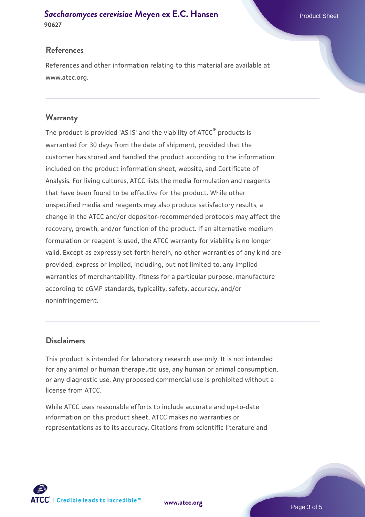#### **[Saccharomyces cerevisiae](https://www.atcc.org/products/90627)** [Meyen ex E.C. Hansen](https://www.atcc.org/products/90627) **90627**

#### **References**

References and other information relating to this material are available at www.atcc.org.

#### **Warranty**

The product is provided 'AS IS' and the viability of ATCC® products is warranted for 30 days from the date of shipment, provided that the customer has stored and handled the product according to the information included on the product information sheet, website, and Certificate of Analysis. For living cultures, ATCC lists the media formulation and reagents that have been found to be effective for the product. While other unspecified media and reagents may also produce satisfactory results, a change in the ATCC and/or depositor-recommended protocols may affect the recovery, growth, and/or function of the product. If an alternative medium formulation or reagent is used, the ATCC warranty for viability is no longer valid. Except as expressly set forth herein, no other warranties of any kind are provided, express or implied, including, but not limited to, any implied warranties of merchantability, fitness for a particular purpose, manufacture according to cGMP standards, typicality, safety, accuracy, and/or noninfringement.

#### **Disclaimers**

This product is intended for laboratory research use only. It is not intended for any animal or human therapeutic use, any human or animal consumption, or any diagnostic use. Any proposed commercial use is prohibited without a license from ATCC.

While ATCC uses reasonable efforts to include accurate and up-to-date information on this product sheet, ATCC makes no warranties or representations as to its accuracy. Citations from scientific literature and



**[www.atcc.org](http://www.atcc.org)**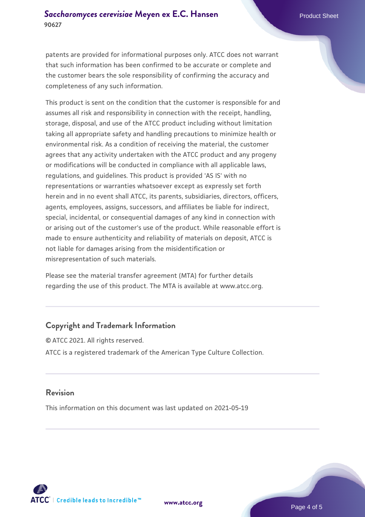patents are provided for informational purposes only. ATCC does not warrant that such information has been confirmed to be accurate or complete and the customer bears the sole responsibility of confirming the accuracy and completeness of any such information.

This product is sent on the condition that the customer is responsible for and assumes all risk and responsibility in connection with the receipt, handling, storage, disposal, and use of the ATCC product including without limitation taking all appropriate safety and handling precautions to minimize health or environmental risk. As a condition of receiving the material, the customer agrees that any activity undertaken with the ATCC product and any progeny or modifications will be conducted in compliance with all applicable laws, regulations, and guidelines. This product is provided 'AS IS' with no representations or warranties whatsoever except as expressly set forth herein and in no event shall ATCC, its parents, subsidiaries, directors, officers, agents, employees, assigns, successors, and affiliates be liable for indirect, special, incidental, or consequential damages of any kind in connection with or arising out of the customer's use of the product. While reasonable effort is made to ensure authenticity and reliability of materials on deposit, ATCC is not liable for damages arising from the misidentification or misrepresentation of such materials.

Please see the material transfer agreement (MTA) for further details regarding the use of this product. The MTA is available at www.atcc.org.

#### **Copyright and Trademark Information**

© ATCC 2021. All rights reserved. ATCC is a registered trademark of the American Type Culture Collection.

#### **Revision**

This information on this document was last updated on 2021-05-19



**[www.atcc.org](http://www.atcc.org)**

Page 4 of 5